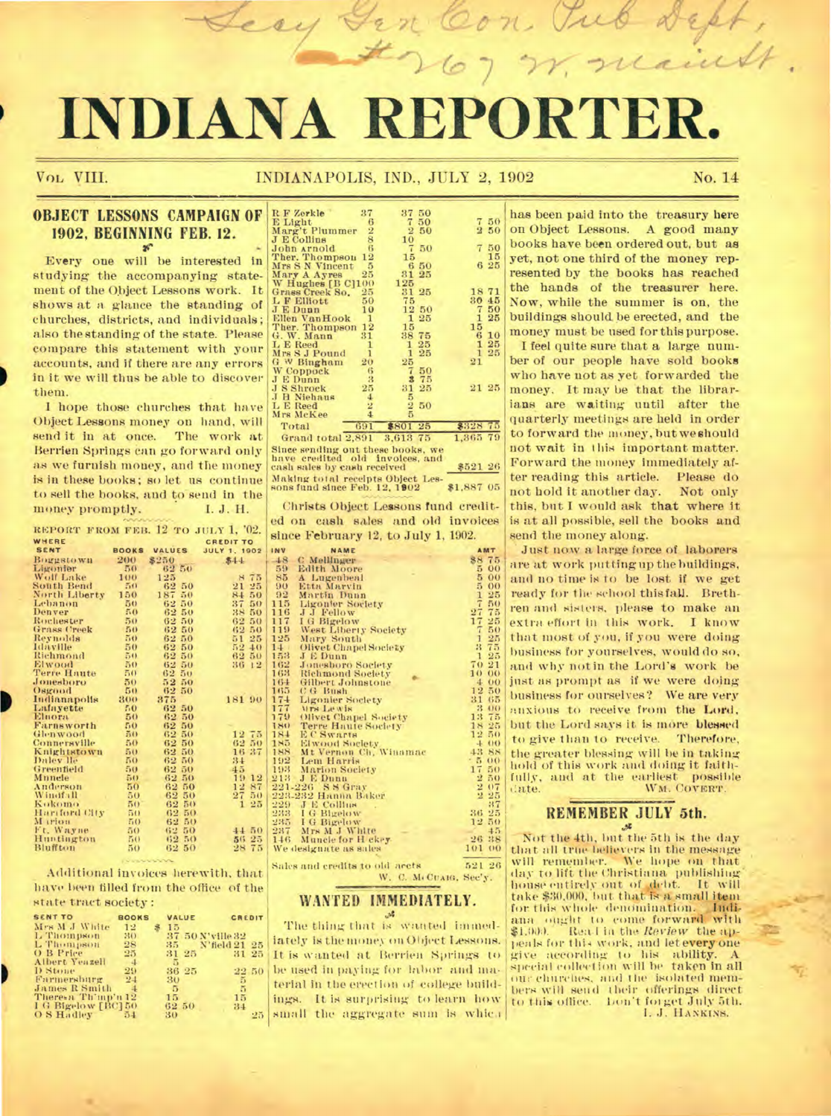# INDIANA REPORTE

VOL VIII.

#### INDIANAPOLIS, IND., JULY 2, 1902

No. 14

#### **OBJECT LESSONS CAMPAIGN OF** 1902, BEGINNING FEB. 12.  $\mathbf{x}^n$

Every one will be interested in studying the accompanying statement of the Object Lessons work. It shows at a glance the standing of churches, districts, and individuals; also the standing of the state. Please compare this statement with your accounts, and if there are any errors in it we will thus be able to discover them.

I hope those churches that have Object Lessons money on hand, will send it in at once. The work at Berrien Springs can go forward only as we furnish money, and the money is in these books; so let us continue to sell the books, and to send in the money promptly. I. J. H.

REPORT FROM FEB. 12 TO JULY 1, '02. WHERE CREDIT TO JULY 1, 1902 SENT **BOOKS** VALUES  $\begin{array}{r} 8250 \\ 8250 \\ 6250 \\ 125 \\ 6250 \\ 6250 \\ 6250 \\ 6250 \\ 6250 \\ 6250 \\ 6250 \\ 6250 \\ 6250 \\ 6250 \\ 6250 \\ 6250 \\ 6250 \\ 6250 \\ 6250 \\ 6250 \\ 6250 \\ 6250 \\ 6250 \\ 6250 \\ 6250 \\ 6250 \\ 6250 \\ 6250 \\ 6250 \\ 6250 \\ 6250 \\ 6250 \\ 6250 \\ 6250 \\ 6250 \\ 625$ Boggstown 200 Boggstow<br>Wolf Lake<br>South Bend<br>North Liberty  $50$  $\frac{100}{50}$  $21$  $\frac{150}{50}$  $8478$ ebanon Denver Benver<br>Rochester<br>Grass Creek<br>Reynolds  $^{62}_{62}$ 55600000  $\begin{array}{r} 51\,25 \\ 52\,40 \\ 62\,50 \\ 36\,12 \end{array}$ 62 50 **Idaville**<br>Richmond  $\frac{62}{62}$ Elwood  $62$  $\frac{62}{52} \frac{50}{50}$ <br> $\frac{62}{52} \frac{50}{50}$ <br> $\frac{62}{52} \frac{50}{50}$ **Terre Haute**<br>Jonesboro  $\overline{50}$ Osgood  $50$  $\frac{300}{50}$ Indianapolis<br>Lafayette 181 90 50<br>50<br>50<br>50<br>50<br>50<br>50 Elnora  $62$ **Farnsworth**<br>Glenwood<br>Connersville  $62$ <br> $62$ <br> $62$  $\frac{50}{50}$  $\begin{array}{r} 12\ \ 75 \\ 62\ \ 50 \\ 16\ \ 37 \\ 34 \\ 45 \\ 19\ \ 12 \\ 27 \\ 21 \\ 27 \\ 1 \\ 25 \\ \end{array}$ Knightstown<br>Daley lle  $\frac{50}{50}$  $\frac{62}{62}$  $\frac{11}{22}$  $\frac{50}{50}$ Greenfield 50  $69$ Munele<br>Anderson<br>Windfall  $62$ <br> $62$ <br> $62$ <br> $62$  $\frac{50}{50}$  $\frac{50}{50}$ 55600050 Kokomo<br>Hariford City  $\frac{50}{50}$ <br> $\frac{50}{50}$  $62$ 622 M reform  $2321$  M Ft. Wayne<br>Huntington 44 50  $\frac{56}{28}$   $\frac{25}{75}$ Bluffton  $50$ 62 50

Additional invoices herewith, that have been filled from the office of the state tract society:

| <b>SENT TO</b>      | <b>BOOKS</b> | VALUE      | CREDIT           |    |
|---------------------|--------------|------------|------------------|----|
| Mrs M J White       | 12           | 15         |                  |    |
| L Thompson          | 310          |            | 37 50 N'ville 32 |    |
| L Thompson          | 28           |            | 35 N'field 21 25 |    |
| O B Price           | 25           | 31 25      | 31 25            |    |
| Albert Yeazell      | $-4$         | 5          |                  |    |
| D Stone             | 29           | 36 25      | 22 50            |    |
| Farmersburg         | 24           | 30         | в                |    |
| James R Smith       |              | $\sqrt{5}$ | 5                |    |
| There's Th'mp'n 12  |              | 15.        | 15               |    |
| I G Bigelow [BC] 50 |              | 62 50      | 34               |    |
| O S Hadley          | 5.1          | 30         |                  | 25 |

D

| R F Zerkle                          | 37                      | 37             | 50 |                |               |
|-------------------------------------|-------------------------|----------------|----|----------------|---------------|
| E Light                             | 6                       | 7              | 50 | 7.             | 5(            |
| Marg't Plummer                      | $\overline{2}$          | $\overline{2}$ | 50 | $\overline{2}$ | 50            |
| <b>J</b> E Collins                  | 8                       | 10             |    |                |               |
| John Arnold                         | $\overline{\mathbf{6}}$ | 7              | 50 |                | 50            |
| Ther. Thompson                      | 12                      | 15             |    |                | 15            |
| Mrs S N Vincent                     | $\overline{5}$          | $6 -$          | 50 |                | 6 25          |
| Mary A Ayres                        | 25                      | 31             | 25 |                |               |
| W Hughes [B C]100                   |                         | 125            |    |                |               |
| Grass Creek So.                     | 25                      | 31             | 25 | 1871           |               |
| L F Elliott                         | 50                      | 75             |    | 30 45          |               |
| <b>JEDunn</b>                       | 10                      | 12             | 50 | 7              | 50            |
| Ellen VanHook                       | $\mathbf{1}$<br>12      | 1<br>15        | 25 | 1<br>15        | 25            |
| Ther. Thompson                      | 31                      | 38             | 75 | -6             | 10            |
| G. W. Mann                          | 1                       |                | 25 | 1              | 25            |
| L E Reed                            | ĩ                       | ı<br>1         | 25 | $\mathbf{1}$   | 25            |
| Mrs S J Pound<br>G W Bingham        | 20                      | 25             |    | 21             |               |
| W Coppock                           | 6                       | 7              | 50 |                |               |
| <b>JEDunn</b>                       | 3                       | 3              | 75 |                |               |
| <b>J S Shrock</b>                   | 25                      | 31             | 25 | 21 25          |               |
| J H Niehaus                         | 4                       | 5              |    |                |               |
| L E Reed                            | $\overline{2}$          |                | 50 |                |               |
| Mrs McKee                           | 4                       | $\frac{2}{5}$  |    |                |               |
| Total                               | 691                     | \$801          | 25 | \$328.75       |               |
| Grand total 2,891 3,613 75          |                         |                |    | 1,365 79       |               |
|                                     |                         |                |    |                |               |
| Since sending out these books, we   |                         |                |    |                |               |
| have credited old involces, and     |                         |                |    |                |               |
| cash sales by cash received         |                         |                |    | \$521~26       |               |
| Making total receipts Object Les-   |                         |                |    |                |               |
| sons fund since Feb. 12, 1902       |                         |                |    | \$1,887 05     |               |
|                                     |                         |                |    |                |               |
| Christs Object Lessons fund credit- |                         |                |    |                |               |
| ed on cash sales and old invoices   |                         |                |    |                |               |
|                                     |                         |                |    |                |               |
| since February 12, to July 1, 1902. |                         |                |    |                |               |
| INV<br>NAME                         |                         |                |    |                | AMT           |
| 48 C Mellinger                      |                         |                |    | 88 75          |               |
| 59 Edith Moore                      |                         |                |    | 5.             | $^{\rm oc}$   |
| 85 A Lugenbeal                      |                         |                |    | 5              | $\alpha$      |
| 90 Etta Marvin<br>92 Martin Dunn    |                         |                |    | 5              | 00            |
|                                     |                         |                |    | 1              | 25            |
| 115 Ligonier Society                |                         |                |    | $\overline{7}$ | $\frac{5}{7}$ |
| 116<br>J J Fellow                   |                         |                |    | 27             |               |

| $\frac{7}{9}$ | I G Bigelow                      | 17 25              |         |
|---------------|----------------------------------|--------------------|---------|
|               | West Liberty Society             | $\tau$             | 50      |
| 15            | Mary South                       | 1                  | 25      |
| Ð             | Olivet Chapel Society            | 3 75               |         |
|               | J E Dunn                         | $\mathbf{1}$       | 25      |
|               | Jonesboro Society                | 70 21              |         |
|               | <b>Richmond Society</b>          | $10^{\circ}$<br>00 |         |
|               | Gilbert Johnstone                | 400                |         |
|               | C G Bush                         | 12 50              |         |
|               | <b>Ligonier Society</b>          | 31                 | 65      |
| 32345479      | Mrs Lewis                        | 3                  | 00      |
|               | Olivet Chapel Society            | 13 75              |         |
| 3             | <b>Terre Haute Society</b>       | 18 25              |         |
| $+$           | E C Swarts                       | 12 50              |         |
| 临             | Elwood Society                   | 4.00               |         |
| 88            | Mt Vernon Ch, Winamac            | 43 SS              |         |
|               | 12 Lem Harris<br>13 Marion Soci  | $-500$             |         |
|               | Marion Society                   | 17<br>50           |         |
| 3             | J E Dunn                         | 2.50               |         |
|               | 11-226 SS Gray                   | 207                |         |
|               | 33-232 Hanna Baker               | $2\,25$            |         |
|               |                                  |                    | 37      |
|               | 29 J E Collins<br>13 I G Bigelow | 36 25              |         |
|               | 55 I G Bigelow                   | 12.50              |         |
|               | 17 Mrs M J White                 |                    | $+5$    |
|               | 16 Muncie for H ckey-            | 26 38              |         |
|               | e designate as sales             | 101                | $^{00}$ |
|               |                                  |                    |         |

Sales and credits to old arcts 521 26 W. C. M. CUAIG, Sec'y.

#### WANTED IMMEDIATELY. \$د.,

The thing that is wanted immedlately is the money on Object Lessons. It is wanted at Berrien Springs to be used in paying for labor and material in the erection of college buildings. It is surprising to learn how small the aggregate sum is which

has been paid into the treasury here on Object Lessons. A good many books have been ordered out, but as yet, not one third of the money represented by the books has reached the hands of the treasurer here. Now, while the summer is on, the buildings should be erected, and the money must be used for this purpose. I feel quite sure that a large number of our people have sold books who have not as yet forwarded the money. It may be that the librarians are waiting until after the quarterly meetings are held in order to forward the money, but we should not wait in this important matter. Forward the money immediately after reading this article. Please do not hold it another day. Not only this, but I would ask that where it is at all possible, sell the books and send the money along.

Just now a large force of laborers are at work putting up the buildings, and no time is to be lost if we get ready for the school this fall. Brethren and sisters, please to make an extra effort in this work. I know that most of you, if you were doing business for yourselves, would do so, and why notin the Lord's work be just as prompt as if we were doing business for ourselves? We are very auxious to receive from the Lord, but the Lord says it is more blessed to give than to receive. Therefore, the greater blessing will be in taking hold of this work and doing it faithfully, and at the earliest possible date. WM. COVERT.

## REMEMBER JULY 5th.

Not the 4th, but the 5th is the day that all true believers in the message will remember. We hope on that day to lift the Christiana publishing house entirely out of debt. It will<br>take \$30,000, but that is a small item for this whole denomination. Indifor this whole denomination. Indi-<br>ana ought to come forward with \$1.000. Real in the Review the appeals for this work, and let every one give according to his ability. A special collection will be taken in all our churches, and the isolated members will send their offerings direct to this office. Lon't forget July 5th. I. J. HANKINS.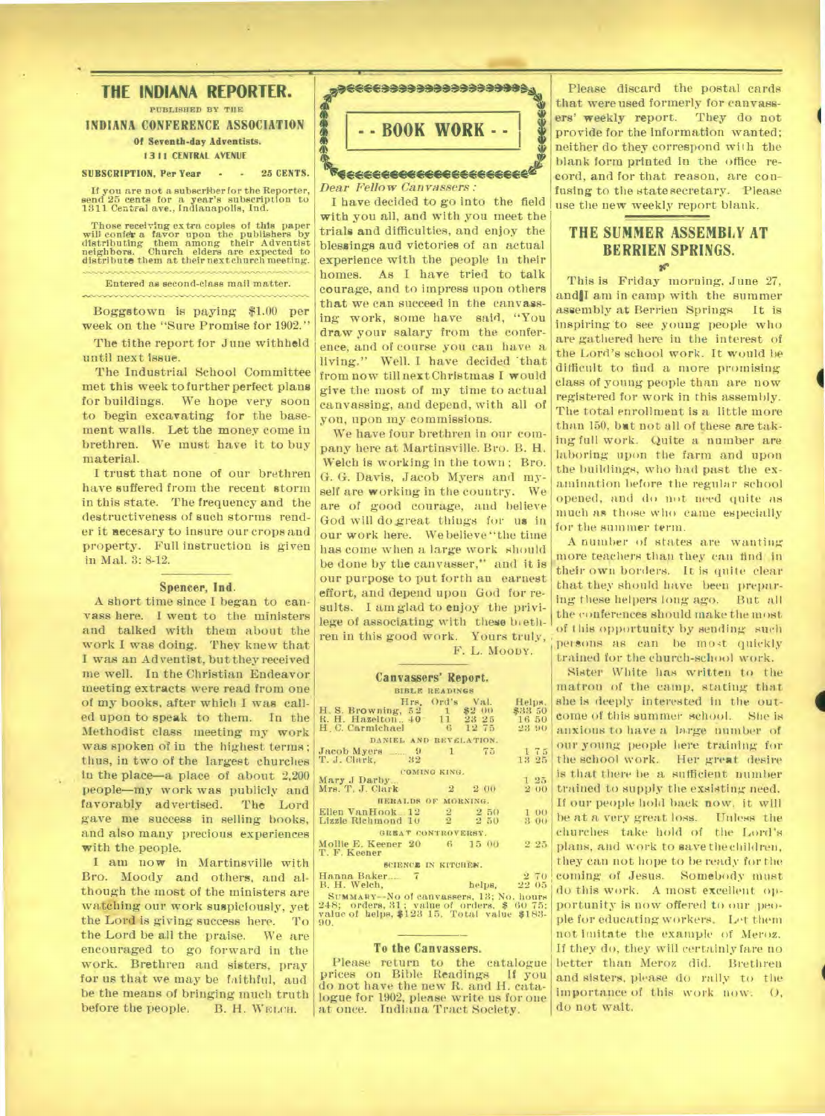**THE INDIANA REPORTER. PUBLISHED BY THE INDIANA CONFERENCE ASSOCIATION Of Seventh-day Adventists. I311 CENTRAL AVENUE SUBSCRIPTION. Per Year • • 25 CENTS.** 

**If you are not a subscriber for the Reporter, send 25 cents for a year's subscription to 1311 Central ave., Indianapolis, Ind.** 

**Those receiving extra copies of this paper will cold\* a favor upon the publishers by distributing them among their Adventist neighbors. Church elders are expected to distribute them at their next church meeting.** 

**Entered as second-class mail matter.** 

**Boggstown is paying \$1.00 per week on the "Sure Promise for 1902."** 

**The tithe report for June withheld until next issue.** 

**The Industrial School Committee met this week to further perfect plans for buildings. We hope very soon to begin excavating for the basement walls. Let the money come in brethren. We must have it to buy material.** 

**I trust that none of our brethren have suffered from the recent storm in this state. The frequency and the destructiveness of such storms render it necesary to insure our crops and property. Full Instruction is given in Mal. 3: 8-12.** 

#### **Spencer, Ind.**

**A short time since I began to canvass here. I went to the ministers and talked with them about the work I was doing. They knew that I was an Adventist, but they received me well. In the Christian Endeavor tneeting extracts were read from one of my books, after which I was called upon to speak to them. In the Methodist class meeting my work was spoken of in the highest terms; thus, in two of the largest churches in the place—a place of about 2,200 people—my work was publicly and favorably advertised. The Lord gave me success in selling books, and also many precious experiences with the people.** 

**I am now in Martinsville with Bro. Moody and others, and although the most of the ministers are watching our work suspiciously, yet the Lord is giving success here. To the Lord be all the praise. We are encouraged to go forward in the work. Brethren and sisters, pray for us that we may be faithful, and be the means of bringing much truth before the people. B. H. WELCH.** 



*Dear Fellow Canvassers :* 

**I have decided to go into the field with you all, and with you meet the trials and difficulties, and enjoy the blessings and victories of an actual experience with the people in their homes. As I have tried to talk courage, and to impress upon others that we can succeed in the canvassing work, some have said, "You draw your salary from the conference, and of course you can have a living." Well. I have decided 'that from now till nextChristmas I would give the most of my time to actual canvassing, and depend, with all of you, upon my commissions.** 

**We have four brethren in our company here at Martinsville. Bro. B. H. Welch is working in the town ; Bro. G. G. Davis, Jacob Myers and myself are working in the country. We are of good courage, and believe God will dogreat things for us in our work here. We believe "the time has come when a large work should be done by the canvasser," and it is our purpose to put forth au earnest effort, and depend upon God for re**sults. I am glad to enjoy the privi**lege of associating with these brethren in this good work. Yours truly,** 

**F. L.** MOODY.

## **Canvassers' Report.**

| <b>BIBLE READINGS</b>                                                                   |              |  |                        |  |  |  |
|-----------------------------------------------------------------------------------------|--------------|--|------------------------|--|--|--|
|                                                                                         |              |  | Hrs. Ord's Val. Helps. |  |  |  |
| H. S. Browning, 52 1 \$2 00<br>R. H. Hazelton., 40 11 23 25<br>H. C. Carmichael 6 12 75 |              |  | \$33 50                |  |  |  |
|                                                                                         |              |  | 16 50                  |  |  |  |
|                                                                                         |              |  | 23 90                  |  |  |  |
| DANIEL AND REVELATION.                                                                  |              |  |                        |  |  |  |
| Jacob Myers 2 9 1 75                                                                    |              |  | 175                    |  |  |  |
| T. J. Clark, 32                                                                         |              |  | 13 25                  |  |  |  |
|                                                                                         | COMING KING. |  |                        |  |  |  |
| Mary J Darby                                                                            |              |  | 125                    |  |  |  |
| Mrs. T. J. Clark 2 2 00                                                                 |              |  | 2 00                   |  |  |  |
| HERALDS OF MORNING.                                                                     |              |  |                        |  |  |  |
| Ellen VanHook 12 2 2 50 1 00                                                            |              |  |                        |  |  |  |
| Lizzie Richmond 10 2 2 50 3 00                                                          |              |  |                        |  |  |  |
|                                                                                         |              |  |                        |  |  |  |
| GREAT CONTROVERSY.                                                                      |              |  |                        |  |  |  |
| Mollie E. Keener 20 6 15 00                                                             |              |  | 2.25                   |  |  |  |
| T. F. Keener                                                                            |              |  |                        |  |  |  |
| SCIENCE IN KITCHEN.                                                                     |              |  |                        |  |  |  |
| Hanna Baker. 7                                                                          |              |  | 2 70                   |  |  |  |
| B. H. Welch,                                                                            |              |  | helps, 22 05           |  |  |  |
| SUMMARY-No of canvassers, 13; No. hours                                                 |              |  |                        |  |  |  |
| 248; orders, 31; value of orders, \$ 60 75;                                             |              |  |                        |  |  |  |
| value of helps, \$123 15. Total value \$183.                                            |              |  |                        |  |  |  |

248; orders, 31; value of orders, \$ 60 **75; value of helps, \$123 15. Total value \$183- 90.** 

#### **To the Canvassers.**

**Please return to the catalogue prices on Bible Readings It you do not have the new R. and H. catalogue for 1902, please write us for one at once. Indiana Tract Society.** 

**Please discard the postal cards that were used formerly for canvassers' weekly report. They do not provide for the information wanted; neither do they correspond with the blank form printed in the office record, and for that reason, are confusing to the state secretary. Please use the new weekly report blank.** 

## **THE SUMMER ASSEMBLY AT BERRIEN SPRINGS.**

**This is Friday morning, June 27, andlI am in camp with the summer assembly at Berrien Springs It is inspiring to see young people who are gathered here in the interest of the Lord's school work. It would be difficult to find a more promising class of young people than are now registered for work in this assembly. The total enrollment is a little more than 150, bet not all of these** *are* **taking full work. Quite a number are laboring upon the farm and upon the buildings, who had past the examination before the regular school opened, and do n**o**t need quite** *as*  **much as those** who **came especially for the summer term.** 

**4** 

**A number of states are wanting more teachers than they can find in their own borders. It is quite clear that they should have been preparing these helpers long ago. But all the conferences should make the most of** t **his opportunity by sending** such persons as can be most quickly **trained for the church-school work.** 

**Sister White has written to the matron of the camp, stating that she is deeply interested in the outcome of this summer school. Site** is **anxious to have a large number of our young people here** training for **the school work. Her great desire is that** there **be a sufficient number trained to supply the exsisting need. If our people hold back now, it will be at a very great loss. Unlems the churches take hold of the Lord's plans, and work to savethechildren, they can not hope to be ready for the coming. of Jesus. Somebody must do this work. A most excellent op**portunity is now offered to our peo**ple for educating workers. Let them**  not imitate the example of Meroz. **If they do, they will certainly fare no better than Meroz did. Brethren and sisters, please do rally to the importance of this work now.** 0, **do not wait.**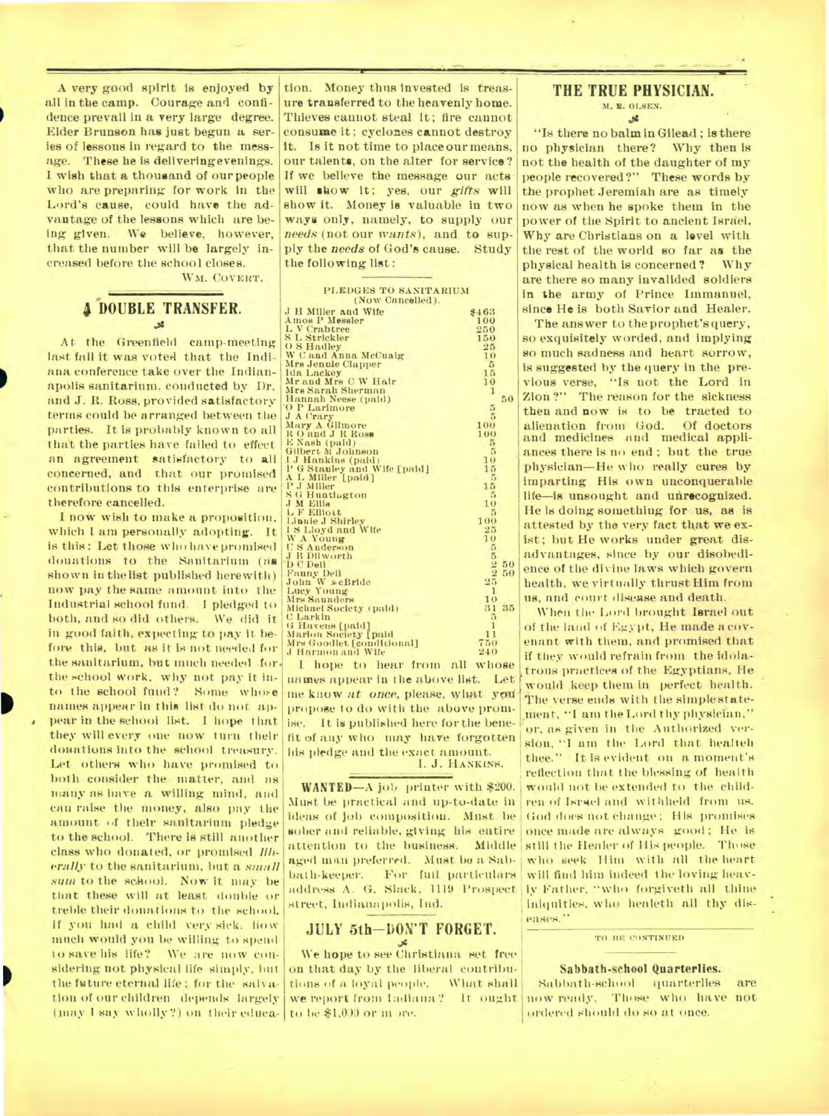A very good spirit is enjoyed by all in the camp. Courage and confidence prevail in a very large degree. Elder Brunson has just begun a series of lessons in regard to the message. These he is deliveringevenings. I wish that a thousand of our people who are preparing for work in the Lord's cause, could have the advantage of the lessons which are being given. We believe, however, that the number will be largely increased before the school closes.

WM. COVERT.

### **DOUBLE TRANSFER.**   $M$

At the Greenfield camp-meeting last fall it was voted that the Indiana conference take over the Indianapolis sanitarium. conducted by Dr. and J. R. Ross, provided satisfactory terms could be arranged between the parties. It is probably known to all that the parties have failed to effect an agreement satisfactory to all concerned, and that our promised contributions to this enterprise are therefore cancelled.

I now wish to make a proposition, which I am personally adopting. It is this: Let those who have promised donations to the Sanitarium (as shown in thelist published herewith) now pay the same amount into the Industrial school fund. I pledged to both, and so did others. We did it in good faith, expecting to pay it before this, but as it is not needed for the sanitarium, but much needed .for. the school work, why not pay it into the school fund? Some whore names appear In this list do not appear in the school list. I hope that they will every one now turn their donations into the school treasury. Let others who have promised to both consider the matter, and as many as have a willing mind, and can raise the money, also pay the amount of their sanitarium pledge to the school. There is still another class who donated, or promised *liberally* to the sanitarium, but a *small SIM* to the school. Now it may be that these will at least double or treble their donations to the school. If you had a child very sick. how much would you be willing to spend to save his life? We are nowconsidering not physical life simply, hut the future eternal life; for the salvation of our children depends largely (may 1 say wholly?) on their eduea-

tion. Money thus invested is treasure transferred to the heavenly home. Thieves cannot steal it; fire cannot consume it ; cyclones cannot destroy it. Is it not time to place our means, our talents, on the alter for service? If we believe the message our acts will show it; yes, our *gifts* will show it. Money is valuable in two ways only, namely, to supply our *needs* (not our *wants),* and to supply the *needs* of God's cause. Study the following list:

•

|                              |                 |    | ŧ |
|------------------------------|-----------------|----|---|
| PLEDGES TO SANITARIUM        |                 |    |   |
| (Now Cancelled).             |                 |    | i |
|                              |                 |    | g |
| J H Miller and Wife          | \$463           |    |   |
| <b>Amos P Messler</b>        | 100             |    |   |
| L V Crabtree                 | 250             |    |   |
| S L Strickler                | 150             |    | f |
| O S Hadley                   | 25              |    | š |
| W C and Anna McCuaig         | 10              |    |   |
| Mrs Jenuie Clapper           | 5               |    | i |
| Ida Lackey                   | 15              |    |   |
| Mr and Mrs C W Hair          | 10              |    | ł |
| Mrs Sarah Sherman            | 1               |    | í |
| Hannah Neese (paid)          |                 | 50 |   |
| O P Larimore                 | 5               |    | í |
| J A Crary                    | 5               |    |   |
| Mary A Gilmore               | 100             |    |   |
| RO and J R ROSS              | 100             |    | ŀ |
| E Nash (paid)                | 5               |    |   |
| Gilbert M Johnson            | 5               |    | É |
| 1 J Hankins (paid)           | 10              |    |   |
| P G Stanley and Wife [paid]  | 15              |    |   |
| A L Miller [paid]            | 5               |    | Í |
| P J Miller                   | 15              |    |   |
| <b>SG Huntington</b>         | 5               |    | l |
| <b>J M Ellis</b>             | 10              |    |   |
| L F Elliott                  | $5\overline{5}$ |    |   |
| Linnie J Shirley             | 100             |    |   |
| 18 Lloyd and Wife            | 25              |    |   |
| W A Young                    | 10              |    | j |
| U S Anderson                 | 25120000        |    |   |
| <b>J B Dilworth</b>          |                 |    |   |
| <b>D</b> C Dell              |                 | 50 |   |
| <b>Fanny Dell</b>            |                 | 50 |   |
| John W seBride<br>Lucy Young |                 |    |   |
|                              | 1               |    |   |
| Mrs Sannders                 | 10              |    | Ì |
| Michael Society (paid)       | 31              | 35 |   |
| <b>C</b> Larkin              | 5               |    |   |
| G Havens [paid]              | $\mathbf{1}$    |    |   |
| Marlon Society [paid         | 11              |    |   |
| Mrs Goodlet [conditional]    | 750             |    |   |
| J Harmon and Wife            | 240             |    |   |

I hope to hear from all whose names appear in the above list. Let' me know *at once*, please, what you propose to do with the above promise. It is published here for the benefit of any who may have forgotten his pledge and the exact amount. 1. J. HANKINS.

**WANTED—A** job printer with \$200. Must be practical and up-to-date in ideas of job compositiou. Must be sober and reliable, giving his entire attention to the business. Middle aged man preferred. Must be a Subbath-keeper. For full particulars address A. G. Slack, 1119 Prospect street, Indianapolis, Ind.

# **JULY 5th-DON'T FORGET.**

We hope to see Christiana set free on that day by the liberal coutributions of a loyal people. What shall we report from ladiana? It ought to be \$1,030 or in ore.

#### **THE TRUE PHYSICIAN.**

#### **K. K.** *OLSEN.*   $.58$

"Is there no balm in Gilead ; is there no physician there? Why then is not the health of the daughter of my people recovered?" These words by the prophet Jeremiah are as timely now as when he spoke them in the power of the Spirit to ancient Israel. Why are Christians on a level with the rest of the world so far as the physical health is concerned? Why are there so many invalided soldiers in the army of Prince Immanuel, since He is both Savior and Healer.

The answer to the prophet's query, so exquisitely worded, and implying so much sadness and heart sorrow, is suggested by the query in the previous verse, "Is not the Lord in Zion ?" The reason for the sickness then and **now** is to be tracted to<br>alienation from God. Of doctors alienation from God. and medicines and medical appliances there is no end ; but the true physician—He who really cures by imparting His own unconquerable life—is unsought and unrecognized. He is doing something for us, as is attested by the very fact that we exist; but He works under great disadvantages, since by our disobedience of the divine laws which govern health, we, virtually thrust Him from us, and court disease and death.

When the Lord brought Israel out of the land of Egypt, He made a covenant with them, and promised that if they would refrain front the idolatrous practices of the Egyptians. He would keep them in perfect health. The verse ends with the simple statement, "I am the Lord thy physician," or, as given in the Authorized version, "I am the Lord that healteh thee." It is evident on a moment's reflection that the blessing of health would not be extended to the children of Israel and withheld from us. God does not change; His promises once made are always good ; He is still the Healer of His people. Those who seek Him with all the heart will find him indeed the loving heavly Father, "who forgiveth all thine iniquities, who healeth all thy diseases."

#### TO BE CONTINUED

#### **Sabbath-school Quarterlies.**

Sabbath-school quarterlies are now ready. Those who have not ordered should do so at once.